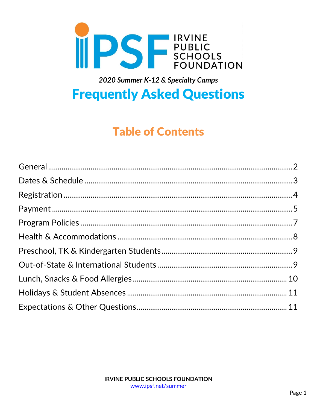

# 2020 Summer K-12 & Specialty Camps

# **Frequently Asked Questions**

# **Table of Contents**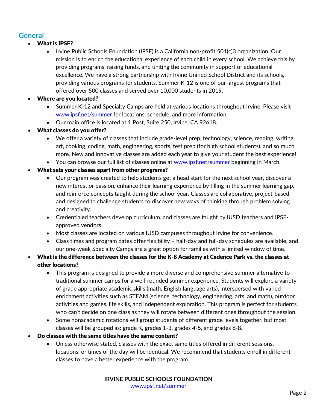# <span id="page-1-0"></span>**General**

## What is IPSF?

- Irvine Public Schools Foundation (IPSF) is a California non-profit 501(c)3 organization. Our mission is to enrich the educational experience of each child in every school. We achieve this by providing programs, raising funds, and uniting the community in support of educational excellence. We have a strong partnership with Irvine Unified School District and its schools, providing various programs for students. Summer K-12 is one of our largest programs that offered over 500 classes and served over 10,000 students in 2019.
- Where are you located?
	- Summer K-12 and Specialty Camps are held at various locations throughout Irvine. Please visit [www.ipsf.net/summer](http://www.ipsf.net/summer) for locations, schedule, and more information.
	- Our main office is located at 1 Post, Suite 250, Irvine, CA 92618.
- What classes do you offer?
	- We offer a variety of classes that include grade-level prep, technology, science, reading, writing, art, cooking, coding, math, engineering, sports, test prep (for high school students), and so much more. New and innovative classes are added each year to give your student the best experience!
	- You can browse our full list of classes online at [www.ipsf.net/summer](http://www.ipsf.net/summer) beginning in March.
- What sets your classes apart from other programs?
	- Our program was created to help students get a head start for the next school year, discover a new interest or passion, enhance their learning experience by filling in the summer learning gap, and reinforce concepts taught during the school year. Classes are collaborative, project-based, and designed to challenge students to discover new ways of thinking through problem solving and creativity.
	- Credentialed teachers develop curriculum, and classes are taught by IUSD teachers and IPSFapproved vendors.
	- Most classes are located on various IUSD campuses throughout Irvine for convenience.
	- Class times and program dates offer flexibility half-day and full-day schedules are available, and our one-week Specialty Camps are a great option for families with a limited window of time.
- What is the difference between the classes for the K-8 Academy at Cadence Park vs. the classes at other locations?
	- This program is designed to provide a more diverse and comprehensive summer alternative to traditional summer camps for a well-rounded summer experience. Students will explore a variety of grade appropriate academic skills (math, English language arts), interspersed with varied enrichment activities such as STEAM (science, technology, engineering, arts, and math), outdoor activities and games, life skills, and independent exploration. This program is perfect for students who can't decide on one class as they will rotate between different ones throughout the session.
	- Some nonacademic rotations will group students of different grade levels together, but most classes will be grouped as: grade K, grades 1-3, grades 4-5, and grades 6-8.
- Do classes with the same titles have the same content?
	- Unless otherwise stated, classes with the exact same titles offered in different sessions, locations, or times of the day will be identical. We recommend that students enroll in different classes to have a better experience with the program.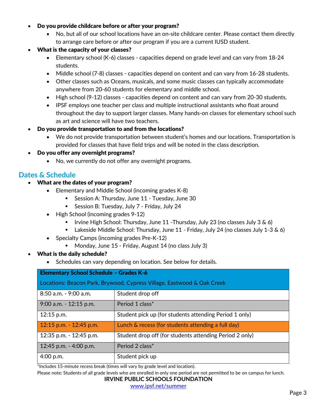#### Do you provide childcare before or after your program?

 No, but all of our school locations have an on-site childcare center. Please contact them directly to arrange care before or after our program if you are a current IUSD student.

## What is the capacity of your classes?

- Elementary school (K-6) classes capacities depend on grade level and can vary from 18-24 students.
- Middle school (7-8) classes capacities depend on content and can vary from 16-28 students.
- Other classes such as Oceans, musicals, and some music classes can typically accommodate anywhere from 20-60 students for elementary and middle school.
- High school (9-12) classes capacities depend on content and can vary from 20-30 students.
- IPSF employs one teacher per class and multiple instructional assistants who float around throughout the day to support larger classes. Many hands-on classes for elementary school such as art and science will have two teachers.

## Do you provide transportation to and from the locations?

 We do not provide transportation between student's homes and our locations. Transportation is provided for classes that have field trips and will be noted in the class description.

## Do you offer any overnight programs?

• No, we currently do not offer any overnight programs.

# <span id="page-2-0"></span>**Dates & Schedule**

- What are the dates of your program?
	- Elementary and Middle School (incoming grades K-8)
		- **Session A: Thursday, June 11 Tuesday, June 30**
		- Session B: Tuesday, July 7 Friday, July 24
	- High School (incoming grades 9-12)
		- **I** Irvine High School: Thursday, June 11 Thursday, July 23 (no classes July 3  $\&$  6)
		- Lakeside Middle School: Thursday, June 11 Friday, July 24 (no classes July 1-3 & 6)
	- Specialty Camps (incoming grades Pre-K-12)
		- Monday, June 15 Friday, August 14 (no class July 3)
- What is the daily schedule?
	- Schedules can vary depending on location. See below for details.

| <b>Elementary School Schedule - Grades K-6</b>                         |                                                         |  |  |  |
|------------------------------------------------------------------------|---------------------------------------------------------|--|--|--|
| Locations: Beacon Park, Brywood, Cypress Village, Eastwood & Oak Creek |                                                         |  |  |  |
| 8:50 a.m. - 9:00 a.m.                                                  | Student drop off                                        |  |  |  |
| 9:00 a.m. - 12:15 p.m.                                                 | Period 1 class*                                         |  |  |  |
| 12:15 p.m.                                                             | Student pick up (for students attending Period 1 only)  |  |  |  |
| 12:15 p.m. $-$ 12:45 p.m.                                              | Lunch & recess (for students attending a full day)      |  |  |  |
| 12:35 p.m. - 12:45 p.m.                                                | Student drop off (for students attending Period 2 only) |  |  |  |
| 12:45 p.m. - 4:00 p.m.                                                 | Period 2 class*                                         |  |  |  |
| $4:00$ p.m.                                                            | Student pick up                                         |  |  |  |

\*Includes 15-minute recess break (times will vary by grade level and location).

Please note: Students of all grade levels who are enrolled in only one period are not permitted to be on campus for lunch.

#### **IRVINE PUBLIC SCHOOLS FOUNDATION**

[www.ipsf.net/summer](http://www.ipsf.net/summer)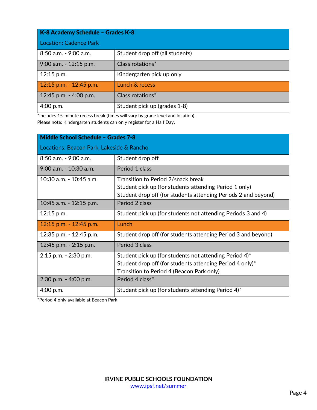| K-8 Academy Schedule - Grades K-8 |                                 |  |  |
|-----------------------------------|---------------------------------|--|--|
| <b>Location: Cadence Park</b>     |                                 |  |  |
| 8:50 a.m. - 9:00 a.m.             | Student drop off (all students) |  |  |
| 9:00 a.m. - 12:15 p.m.            | Class rotations*                |  |  |
| 12:15 p.m.                        | Kindergarten pick up only       |  |  |
| 12:15 p.m. - 12:45 p.m.           | Lunch & recess                  |  |  |
| 12:45 p.m. - 4:00 p.m.            | Class rotations*                |  |  |
| 4:00 p.m.                         | Student pick up (grades 1-8)    |  |  |

\*Includes 15-minute recess break (times will vary by grade level and location). Please note: Kindergarten students can only register for a Half Day.

| <b>Middle School Schedule - Grades 7-8</b> |                                                                                                                                                                    |  |  |  |
|--------------------------------------------|--------------------------------------------------------------------------------------------------------------------------------------------------------------------|--|--|--|
| Locations: Beacon Park, Lakeside & Rancho  |                                                                                                                                                                    |  |  |  |
| 8:50 a.m. - 9:00 a.m.                      | Student drop off                                                                                                                                                   |  |  |  |
| $9:00$ a.m. $-10:30$ a.m.                  | Period 1 class                                                                                                                                                     |  |  |  |
| 10:30 a.m. - 10:45 a.m.                    | Transition to Period 2/snack break<br>Student pick up (for students attending Period 1 only)<br>Student drop off (for students attending Periods 2 and beyond)     |  |  |  |
| 10:45 a.m. - 12:15 p.m.                    | Period 2 class                                                                                                                                                     |  |  |  |
| $12:15$ p.m.                               | Student pick up (for students not attending Periods 3 and 4)                                                                                                       |  |  |  |
| 12:15 p.m. - 12:45 p.m.                    | Lunch                                                                                                                                                              |  |  |  |
| 12:35 p.m. - 12:45 p.m.                    | Student drop off (for students attending Period 3 and beyond)                                                                                                      |  |  |  |
| 12:45 p.m. $-$ 2:15 p.m.                   | Period 3 class                                                                                                                                                     |  |  |  |
| $2:15$ p.m. $-2:30$ p.m.                   | Student pick up (for students not attending Period $4$ )*<br>Student drop off (for students attending Period 4 only)*<br>Transition to Period 4 (Beacon Park only) |  |  |  |
| 2:30 p.m. - 4:00 p.m.                      | Period 4 class*                                                                                                                                                    |  |  |  |
| 4:00 p.m.                                  | Student pick up (for students attending Period $4$ )*                                                                                                              |  |  |  |

<span id="page-3-0"></span>\*Period 4 only available at Beacon Park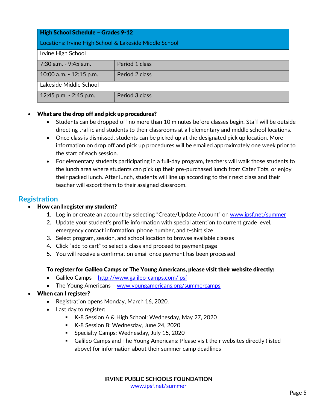| High School Schedule - Grades 9-12                     |                |  |  |  |
|--------------------------------------------------------|----------------|--|--|--|
| Locations: Irvine High School & Lakeside Middle School |                |  |  |  |
| Irvine High School                                     |                |  |  |  |
| 7:30 a.m. - 9:45 a.m.                                  | Period 1 class |  |  |  |
| 10:00 a.m. - 12:15 p.m.                                | Period 2 class |  |  |  |
| Lakeside Middle School                                 |                |  |  |  |
| 12:45 p.m. - 2:45 p.m.                                 | Period 3 class |  |  |  |

#### What are the drop off and pick up procedures?

- Students can be dropped off no more than 10 minutes before classes begin. Staff will be outside directing traffic and students to their classrooms at all elementary and middle school locations.
- Once class is dismissed, students can be picked up at the designated pick up location. More information on drop off and pick up procedures will be emailed approximately one week prior to the start of each session.
- For elementary students participating in a full-day program, teachers will walk those students to the lunch area where students can pick up their pre-purchased lunch from Cater Tots, or enjoy their packed lunch. After lunch, students will line up according to their next class and their teacher will escort them to their assigned classroom.

## **Registration**

### How can I register my student?

- 1. Log in or create an account by selecting "Create/Update Account" on [www.ipsf.net/summer](http://www.ipsf.net/summer)
- 2. Update your student's profile information with special attention to current grade level, emergency contact information, phone number, and t-shirt size
- 3. Select program, session, and school location to browse available classes
- 4. Click "add to cart" to select a class and proceed to payment page
- 5. You will receive a confirmation email once payment has been processed

#### To register for Galileo Camps or The Young Americans, please visit their website directly:

- Galileo Camps <http://www.galileo-camps.com/ipsf>
- The Young Americans [www.youngamericans.org/summercamps](http://www.youngamericans.org/summercamps)
- When can I register?
	- Registration opens Monday, March 16, 2020.
	- Last day to register:
		- K-8 Session A & High School: Wednesday, May 27, 2020
		- K-8 Session B: Wednesday, June 24, 2020
		- **Specialty Camps: Wednesday, July 15, 2020**
		- Galileo Camps and The Young Americans: Please visit their websites directly (listed above) for information about their summer camp deadlines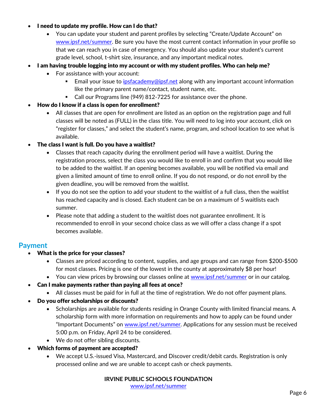#### I need to update my profile. How can I do that?

- You can update your student and parent profiles by selecting "Create/Update Account" on [www.ipsf.net/summer.](http://www.ipsf.net/summer) Be sure you have the most current contact information in your profile so that we can reach you in case of emergency. You should also update your student's current grade level, school, t-shirt size, insurance, and any important medical notes.
- I am having trouble logging into my account or with my student profiles. Who can help me?
	- For assistance with your account:
		- Email your issue to [ipsfacademy@ipsf.net](mailto:ipsfacademy@ipsf.net) along with any important account information like the primary parent name/contact, student name, etc.
		- Call our Programs line (949) 812-7225 for assistance over the phone.
- How do I know if a class is open for enrollment?
	- All classes that are open for enrollment are listed as an option on the registration page and full classes will be noted as (FULL) in the class title. You will need to log into your account, click on "register for classes," and select the student's name, program, and school location to see what is available.

The class I want is full. Do you have a waitlist?

- Classes that reach capacity during the enrollment period will have a waitlist. During the registration process, select the class you would like to enroll in and confirm that you would like to be added to the waitlist. If an opening becomes available, you will be notified via email and given a limited amount of time to enroll online. If you do not respond, or do not enroll by the given deadline, you will be removed from the waitlist.
- If you do not see the option to add your student to the waitlist of a full class, then the waitlist has reached capacity and is closed. Each student can be on a maximum of 5 waitlists each summer.
- Please note that adding a student to the waitlist does not guarantee enrollment. It is recommended to enroll in your second choice class as we will offer a class change if a spot becomes available.

## <span id="page-5-0"></span>**Payment**

- What is the price for your classes?
	- Classes are priced according to content, supplies, and age groups and can range from \$200-\$500 for most classes. Pricing is one of the lowest in the county at approximately \$8 per hour!
	- You can view prices by browsing our classes online at [www.ipsf.net/summer](http://www.ipsf.net/summer) or in our catalog.
- Can I make payments rather than paying all fees at once?
	- All classes must be paid for in full at the time of registration. We do not offer payment plans.
- Do you offer scholarships or discounts?
	- Scholarships are available for students residing in Orange County with limited financial means. A scholarship form with more information on requirements and how to apply can be found under "Important Documents" on [www.ipsf.net/summer.](http://www.ipsf.net/summer) Applications for any session must be received 5:00 p.m. on Friday, April 24 to be considered.
	- We do not offer sibling discounts.
- Which forms of payment are accepted?
	- We accept U.S.-issued Visa, Mastercard, and Discover credit/debit cards. Registration is only processed online and we are unable to accept cash or check payments.

**IRVINE PUBLIC SCHOOLS FOUNDATION** [www.ipsf.net/summer](http://www.ipsf.net/summer)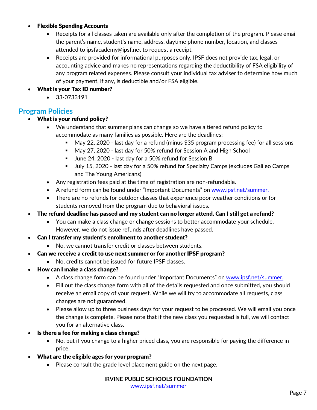#### Flexible Spending Accounts

- Receipts for all classes taken are available only after the completion of the program. Please email the parent's name, student's name, address, daytime phone number, location, and classes attended to ipsfacademy@ipsf.net to request a receipt.
- Receipts are provided for informational purposes only. IPSF does not provide tax, legal, or accounting advice and makes no representations regarding the deductibility of FSA eligibility of any program related expenses. Please consult your individual tax adviser to determine how much of your payment, if any, is deductible and/or FSA eligible.
- What is your Tax ID number?
	- 33-0733191

## <span id="page-6-0"></span>**Program Policies**

- What is your refund policy?
	- We understand that summer plans can change so we have a tiered refund policy to accommodate as many families as possible. Here are the deadlines:
		- May 22, 2020 last day for a refund (minus \$35 program processing fee) for all sessions
		- May 27, 2020 last day for 50% refund for Session A and High School
		- June 24, 2020 last day for a 50% refund for Session B
		- July 15, 2020 last day for a 50% refund for Specialty Camps (excludes Galileo Camps and The Young Americans)
	- Any registration fees paid at the time of registration are non-refundable.
	- A refund form can be found under "Important Documents" on [www.ipsf.net/summer.](http://www.ipsf.net/summer)
	- There are no refunds for outdoor classes that experience poor weather conditions or for students removed from the program due to behavioral issues.
- The refund deadline has passed and my student can no longer attend. Can I still get a refund?
	- You can make a class change or change sessions to better accommodate your schedule. However, we do not issue refunds after deadlines have passed.
- Can I transfer my student's enrollment to another student?
	- No, we cannot transfer credit or classes between students.
- Can we receive a credit to use next summer or for another IPSF program?
	- No, credits cannot be issued for future IPSF classes.
- How can I make a class change?
	- A class change form can be found under "Important Documents" on [www.ipsf.net/summer.](http://www.ipsf.net/summer)
	- Fill out the class change form with all of the details requested and once submitted, you should receive an email copy of your request. While we will try to accommodate all requests, class changes are not guaranteed.
	- Please allow up to three business days for your request to be processed. We will email you once the change is complete. Please note that if the new class you requested is full, we will contact you for an alternative class.
- Is there a fee for making a class change?
	- No, but if you change to a higher priced class, you are responsible for paying the difference in price.
- What are the eligible ages for your program?
	- Please consult the grade level placement guide on the next page.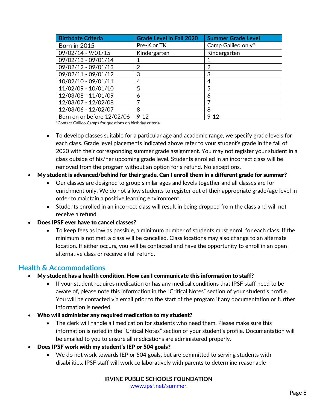| <b>Birthdate Criteria</b>  | <b>Grade Level in Fall 2020</b> | <b>Summer Grade Level</b> |
|----------------------------|---------------------------------|---------------------------|
| <b>Born in 2015</b>        | Pre-K or TK                     | Camp Galileo only*        |
| 09/02/14 - 9/01/15         | Kindergarten                    | Kindergarten              |
| 09/02/13 - 09/01/14        |                                 |                           |
| 09/02/12 - 09/01/13        | 2                               | 2                         |
| 09/02/11 - 09/01/12        | 3                               | 3                         |
| 10/02/10 - 09/01/11        | 4                               | 4                         |
| 11/02/09 - 10/01/10        | 5                               | 5                         |
| 12/03/08 - 11/01/09        | 6                               | 6                         |
| 12/03/07 - 12/02/08        |                                 | 7                         |
| 12/03/06 - 12/02/07        | 8                               | 8                         |
| Born on or before 12/02/06 | $9 - 12$                        | $9 - 12$                  |

\*Contact Galileo Camps for questions on birthday criteria.

- To develop classes suitable for a particular age and academic range, we specify grade levels for each class. Grade level placements indicated above refer to your student's grade in the fall of 2020 with their corresponding summer grade assignment. You may not register your student in a class outside of his/her upcoming grade level. Students enrolled in an incorrect class will be removed from the program without an option for a refund. No exceptions.
- My student is advanced/behind for their grade. Can I enroll them in a different grade for summer?
	- Our classes are designed to group similar ages and levels together and all classes are for enrichment only. We do not allow students to register out of their appropriate grade/age level in order to maintain a positive learning environment.
	- Students enrolled in an incorrect class will result in being dropped from the class and will not receive a refund.
- Does IPSF ever have to cancel classes?
	- To keep fees as low as possible, a minimum number of students must enroll for each class. If the minimum is not met, a class will be cancelled. Class locations may also change to an alternate location. If either occurs, you will be contacted and have the opportunity to enroll in an open alternative class or receive a full refund.

## <span id="page-7-0"></span>**Health & Accommodations**

- My student has a health condition. How can I communicate this information to staff?
	- If your student requires medication or has any medical conditions that IPSF staff need to be aware of, please note this information in the "Critical Notes" section of your student's profile. You will be contacted via email prior to the start of the program if any documentation or further information is needed.
- Who will administer any required medication to my student?
	- The clerk will handle all medication for students who need them. Please make sure this information is noted in the "Critical Notes" section of your student's profile. Documentation will be emailed to you to ensure all medications are administered properly.
- Does IPSF work with my student's IEP or 504 goals?
	- We do not work towards IEP or 504 goals, but are committed to serving students with disabilities. IPSF staff will work collaboratively with parents to determine reasonable

**IRVINE PUBLIC SCHOOLS FOUNDATION** [www.ipsf.net/summer](http://www.ipsf.net/summer)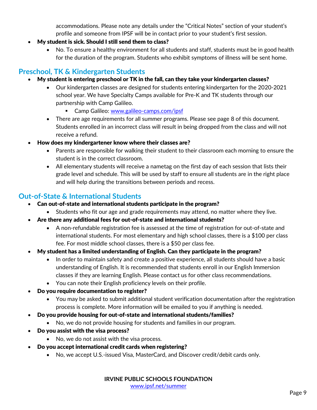accommodations. Please note any details under the "Critical Notes" section of your student's profile and someone from IPSF will be in contact prior to your student's first session.

- My student is sick. Should I still send them to class?
	- No. To ensure a healthy environment for all students and staff, students must be in good health for the duration of the program. Students who exhibit symptoms of illness will be sent home.

# <span id="page-8-0"></span>**Preschool, TK & Kindergarten Students**

- My student is entering preschool or TK in the fall, can they take your kindergarten classes?
	- Our kindergarten classes are designed for students entering kindergarten for the 2020-2021 school year. We have Specialty Camps available for Pre-K and TK students through our partnership with Camp Galileo.
		- Camp Galileo: [www.galileo-camps.com/ipsf](http://www.galileo-camps.com/ipsf)
	- There are age requirements for all summer programs. Please see page 8 of this document. Students enrolled in an incorrect class will result in being dropped from the class and will not receive a refund.
- How does my kindergartener know where their classes are?
	- Parents are responsible for walking their student to their classroom each morning to ensure the student is in the correct classroom.
	- All elementary students will receive a nametag on the first day of each session that lists their grade level and schedule. This will be used by staff to ensure all students are in the right place and will help during the transitions between periods and recess.

# <span id="page-8-1"></span>**Out-of-State & International Students**

- Can out-of-state and international students participate in the program?
	- Students who fit our age and grade requirements may attend, no matter where they live.
- Are there any additional fees for out-of-state and international students?
	- A non-refundable registration fee is assessed at the time of registration for out-of-state and international students. For most elementary and high school classes, there is a \$100 per class fee. For most middle school classes, there is a \$50 per class fee.
- My student has a limited understanding of English. Can they participate in the program?
	- In order to maintain safety and create a positive experience, all students should have a basic understanding of English. It is recommended that students enroll in our English Immersion classes if they are learning English. Please contact us for other class recommendations.
	- You can note their English proficiency levels on their profile.
- Do you require documentation to register?
	- You may be asked to submit additional student verification documentation after the registration process is complete. More information will be emailed to you if anything is needed.
- Do you provide housing for out-of-state and international students/families?
	- No, we do not provide housing for students and families in our program.
- Do you assist with the visa process?
	- No, we do not assist with the visa process.
- Do you accept international credit cards when registering?
	- No, we accept U.S.-issued Visa, MasterCard, and Discover credit/debit cards only.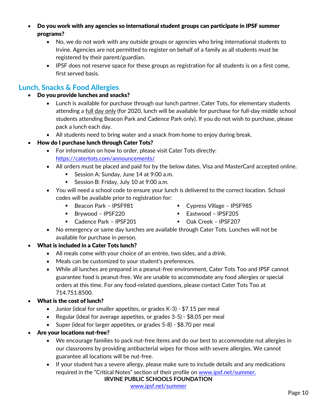Do you work with any agencies so international student groups can participate in IPSF summer programs?

- No, we do not work with any outside groups or agencies who bring international students to Irvine. Agencies are not permitted to register on behalf of a family as all students must be registered by their parent/guardian.
- IPSF does not reserve space for these groups as registration for all students is on a first come, first served basis.

# <span id="page-9-0"></span>**Lunch, Snacks & Food Allergies**

- Do you provide lunches and snacks?
	- Lunch is available for purchase through our lunch partner, Cater Tots, for elementary students attending a full day only (for 2020, lunch will be available for purchase for full-day middle school students attending Beacon Park and Cadence Park only). If you do not wish to purchase, please pack a lunch each day.
	- All students need to bring water and a snack from home to enjoy during break.
- How do I purchase lunch through Cater Tots?
	- For information on how to order, please visit Cater Tots directly: <https://catertots.com/announcements/>
	- All orders must be placed and paid for by the below dates. Visa and MasterCard accepted online.
		- Session A: Sunday, June 14 at 9:00 a.m.
		- Session B: Friday, July 10 at 9:00 a.m.
	- You will need a school code to ensure your lunch is delivered to the correct location. School codes will be available prior to registration for:
		- Beacon Park IPSF981
		- Brywood IPSF220
		- Cadence Park IPSF201
- Cypress Village IPSF985
- Eastwood IPSF205
- Oak Creek IPSF207
- No emergency or same day lunches are available through Cater Tots. Lunches will not be available for purchase in person.

## What is included in a Cater Tots lunch?

- All meals come with your choice of an entrée, two sides, and a drink.
- Meals can be customized to your student's preferences.
- While all lunches are prepared in a peanut-free environment, Cater Tots Too and IPSF cannot guarantee food is peanut-free. We are unable to accommodate any food allergies or special orders at this time. For any food-related questions, please contact Cater Tots Too at 714.751.8500.
- What is the cost of lunch?
	- Junior (ideal for smaller appetites, or grades K-3) \$7.15 per meal
	- Regular (ideal for average appetites, or grades 3-5) \$8.05 per meal
	- Super (ideal for larger appetites, or grades 5-8) \$8.70 per meal
- Are your locations nut-free?
	- We encourage families to pack nut-free items and do our best to accommodate nut allergies in our classrooms by providing antibacterial wipes for those with severe allergies. We cannot guarantee all locations will be nut-free.
	- If your student has a severe allergy, please make sure to include details and any medications required in the "Critical Notes" section of their profile o[n www.ipsf.net/summer.](http://www.ipsf.net/summer)

#### **IRVINE PUBLIC SCHOOLS FOUNDATION**

[www.ipsf.net/summer](http://www.ipsf.net/summer)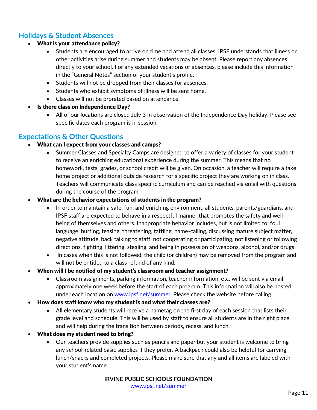# <span id="page-10-0"></span>**Holidays & Student Absences**

- What is your attendance policy?
	- Students are encouraged to arrive on time and attend all classes. IPSF understands that illness or other activities arise during summer and students may be absent. Please report any absences directly to your school. For any extended vacations or absences, please include this information in the "General Notes" section of your student's profile.
	- Students will not be dropped from their classes for absences.
	- Students who exhibit symptoms of illness will be sent home.
	- Classes will not be prorated based on attendance.
- Is there class on Independence Day?
	- All of our locations are closed July 3 in observation of the Independence Day holiday. Please see specific dates each program is in session.

## <span id="page-10-1"></span>**Expectations & Other Questions**

- What can I expect from your classes and camps?
	- Summer Classes and Specialty Camps are designed to offer a variety of classes for your student to receive an enriching educational experience during the summer. This means that no homework, tests, grades, or school credit will be given. On occasion, a teacher will require a take home project or additional outside research for a specific project they are working on in class. Teachers will communicate class specific curriculum and can be reached via email with questions during the course of the program.
- What are the behavior expectations of students in the program?
	- In order to maintain a safe, fun, and enriching environment, all students, parents/guardians, and IPSF staff are expected to behave in a respectful manner that promotes the safety and wellbeing of themselves and others. Inappropriate behavior includes, but is not limited to: foul language, hurting, teasing, threatening, tattling, name-calling, discussing mature subject matter, negative attitude, back talking to staff, not cooperating or participating, not listening or following directions, fighting, littering, stealing, and being in possession of weapons, alcohol, and/or drugs.
	- In cases when this is not followed, the child (or children) may be removed from the program and will not be entitled to a class refund of any kind.
- When will I be notified of my student's classroom and teacher assignment?
	- Classroom assignments, parking information, teacher information, etc. will be sent via email approximately one week before the start of each program. This information will also be posted under each location on [www.ipsf.net/summer.](http://www.ipsf.net/summer) Please check the website before calling.
- How does staff know who my student is and what their classes are?
	- All elementary students will receive a nametag on the first day of each session that lists their grade level and schedule. This will be used by staff to ensure all students are in the right place and will help during the transition between periods, recess, and lunch.
- What does my student need to bring?
	- Our teachers provide supplies such as pencils and paper but your student is welcome to bring any school-related basic supplies if they prefer. A backpack could also be helpful for carrying lunch/snacks and completed projects. Please make sure that any and all items are labeled with your student's name.

**IRVINE PUBLIC SCHOOLS FOUNDATION** [www.ipsf.net/summer](http://www.ipsf.net/summer)